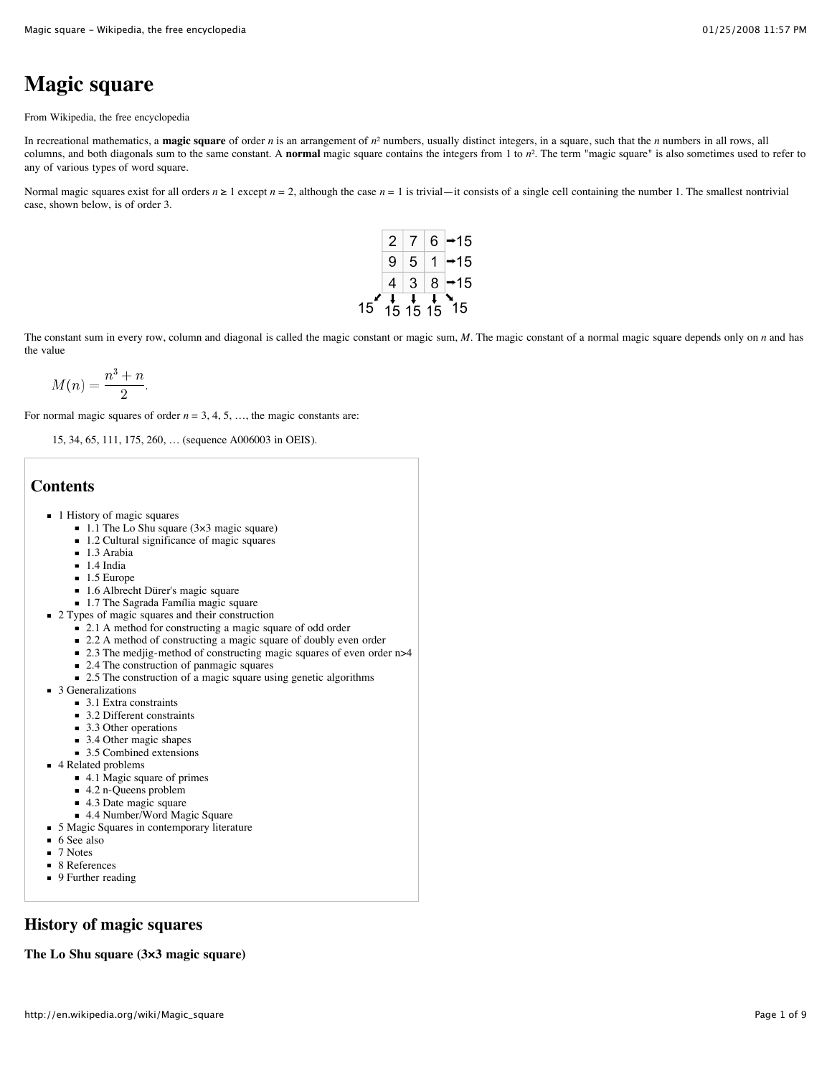# **Magic square**

From Wikipedia, the free encyclopedia

In recreational mathematics, a **magic square** of order *n* is an arrangement of *n*² numbers, usually distinct integers, in a square, such that the *n* numbers in all rows, all columns, and both diagonals sum to the same constant. A **normal** magic square contains the integers from 1 to  $n^2$ . The term "magic square" is also sometimes used to refer to any of various types of word square.

Normal magic squares exist for all orders  $n \ge 1$  except  $n = 2$ , although the case  $n = 1$  is trivial—it consists of a single cell containing the number 1. The smallest nontrivial case, shown below, is of order 3.



The constant sum in every row, column and diagonal is called the magic constant or magic sum, *M*. The magic constant of a normal magic square depends only on *n* and has the value

$$
M(n) = \frac{n^3 + n}{2}.
$$

For normal magic squares of order  $n = 3, 4, 5, \ldots$ , the magic constants are:

15, 34, 65, 111, 175, 260, … (sequence A006003 in OEIS).

### **Contents**

- 1 History of magic squares
	- $\blacksquare$  1.1 The Lo Shu square (3×3 magic square)
	- 1.2 Cultural significance of magic squares
	- 1.3 Arabia
	- $\blacksquare$  1.4 India
	- $1.5$  Europe
	- 1.6 Albrecht Dürer's magic square
	- 1.7 The Sagrada Família magic square
- 2 Types of magic squares and their construction
	- 2.1 A method for constructing a magic square of odd order
	- 2.2 A method of constructing a magic square of doubly even order
	- 2.3 The medite-method of constructing magic squares of even order n>4
	- 2.4 The construction of panmagic squares
	- 2.5 The construction of a magic square using genetic algorithms
- 3 Generalizations
	- 3.1 Extra constraints
	- 3.2 Different constraints
	- 3.3 Other operations
	- 3.4 Other magic shapes
	- 3.5 Combined extensions
- 4 Related problems
	- 4.1 Magic square of primes
	- 4.2 n-Queens problem
	- 4.3 Date magic square
	- 4.4 Number/Word Magic Square
- 5 Magic Squares in contemporary literature
- 6 See also
- 7 Notes
- 8 References
- 9 Further reading

### **History of magic squares**

**The Lo Shu square (3×3 magic square)**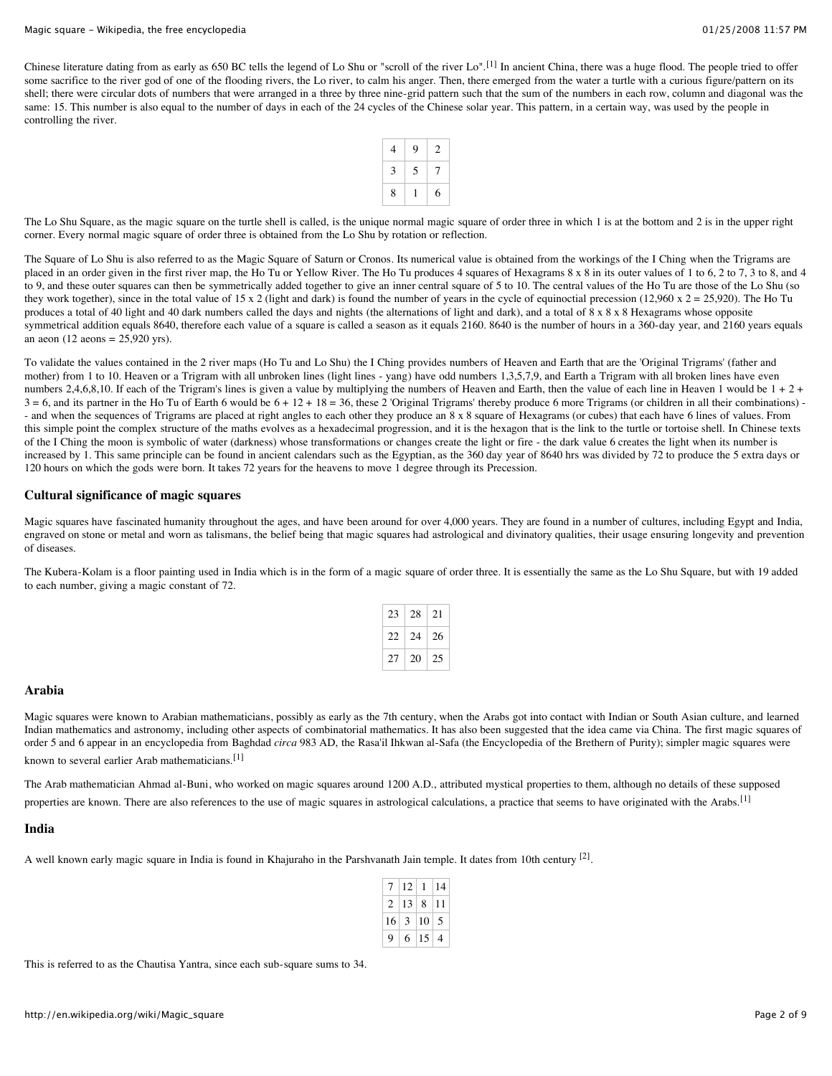Chinese literature dating from as early as 650 BC tells the legend of Lo Shu or "scroll of the river Lo".<sup>[1]</sup> In ancient China, there was a huge flood. The people tried to offer some sacrifice to the river god of one of the flooding rivers, the Lo river, to calm his anger. Then, there emerged from the water a turtle with a curious figure/pattern on its shell; there were circular dots of numbers that were arranged in a three by three nine-grid pattern such that the sum of the numbers in each row, column and diagonal was the same: 15. This number is also equal to the number of days in each of the 24 cycles of the Chinese solar year. This pattern, in a certain way, was used by the people in controlling the river.

| 4 | 9 | 2 |
|---|---|---|
| 3 | 5 | 7 |
| 8 |   | 6 |

The Lo Shu Square, as the magic square on the turtle shell is called, is the unique normal magic square of order three in which 1 is at the bottom and 2 is in the upper right corner. Every normal magic square of order three is obtained from the Lo Shu by rotation or reflection.

The Square of Lo Shu is also referred to as the Magic Square of Saturn or Cronos. Its numerical value is obtained from the workings of the I Ching when the Trigrams are placed in an order given in the first river map, the Ho Tu or Yellow River. The Ho Tu produces 4 squares of Hexagrams 8 x 8 in its outer values of 1 to 6, 2 to 7, 3 to 8, and 4 to 9, and these outer squares can then be symmetrically added together to give an inner central square of 5 to 10. The central values of the Ho Tu are those of the Lo Shu (so they work together), since in the total value of 15 x 2 (light and dark) is found the number of years in the cycle of equinoctial precession (12,960 x  $2 = 25,920$ ). The Ho Tu produces a total of 40 light and 40 dark numbers called the days and nights (the alternations of light and dark), and a total of 8 x 8 x 8 Hexagrams whose opposite symmetrical addition equals 8640, therefore each value of a square is called a season as it equals 2160. 8640 is the number of hours in a 360-day year, and 2160 years equals an aeon (12 aeons =  $25,920$  yrs).

To validate the values contained in the 2 river maps (Ho Tu and Lo Shu) the I Ching provides numbers of Heaven and Earth that are the 'Original Trigrams' (father and mother) from 1 to 10. Heaven or a Trigram with all unbroken lines (light lines - yang) have odd numbers 1,3,5,7,9, and Earth a Trigram with all broken lines have even numbers 2,4,6,8,10. If each of the Trigram's lines is given a value by multiplying the numbers of Heaven and Earth, then the value of each line in Heaven 1 would be  $1 + 2 +$  $3 = 6$ , and its partner in the Ho Tu of Earth 6 would be  $6 + 12 + 18 = 36$ , these 2 'Original Trigrams' thereby produce 6 more Trigrams (or children in all their combinations) -- and when the sequences of Trigrams are placed at right angles to each other they produce an 8 x 8 square of Hexagrams (or cubes) that each have 6 lines of values. From this simple point the complex structure of the maths evolves as a hexadecimal progression, and it is the hexagon that is the link to the turtle or tortoise shell. In Chinese texts of the I Ching the moon is symbolic of water (darkness) whose transformations or changes create the light or fire - the dark value 6 creates the light when its number is increased by 1. This same principle can be found in ancient calendars such as the Egyptian, as the 360 day year of 8640 hrs was divided by 72 to produce the 5 extra days or 120 hours on which the gods were born. It takes 72 years for the heavens to move 1 degree through its Precession.

### **Cultural significance of magic squares**

Magic squares have fascinated humanity throughout the ages, and have been around for over 4,000 years. They are found in a number of cultures, including Egypt and India, engraved on stone or metal and worn as talismans, the belief being that magic squares had astrological and divinatory qualities, their usage ensuring longevity and prevention of diseases.

The Kubera-Kolam is a floor painting used in India which is in the form of a magic square of order three. It is essentially the same as the Lo Shu Square, but with 19 added to each number, giving a magic constant of 72.

| 23 | 28 | 21 |
|----|----|----|
| 22 | 24 | 26 |
| 27 | 20 | 25 |

### **Arabia**

Magic squares were known to Arabian mathematicians, possibly as early as the 7th century, when the Arabs got into contact with Indian or South Asian culture, and learned Indian mathematics and astronomy, including other aspects of combinatorial mathematics. It has also been suggested that the idea came via China. The first magic squares of order 5 and 6 appear in an encyclopedia from Baghdad *circa* 983 AD, the Rasa'il Ihkwan al-Safa (the Encyclopedia of the Brethern of Purity); simpler magic squares were known to several earlier Arab mathematicians.<sup>[1]</sup>

The Arab mathematician Ahmad al-Buni, who worked on magic squares around 1200 A.D., attributed mystical properties to them, although no details of these supposed properties are known. There are also references to the use of magic squares in astrological calculations, a practice that seems to have originated with the Arabs.<sup>[1]</sup>

### **India**

A well known early magic square in India is found in Khajuraho in the Parshvanath Jain temple. It dates from 10th century  $[2]$ .

|                | 12 |    | 14 |
|----------------|----|----|----|
| $\overline{c}$ | 13 | 8  | 11 |
| 16             | 3  | 10 | 5  |
| 9              | 6  | 15 | 4  |

This is referred to as the Chautisa Yantra, since each sub-square sums to 34.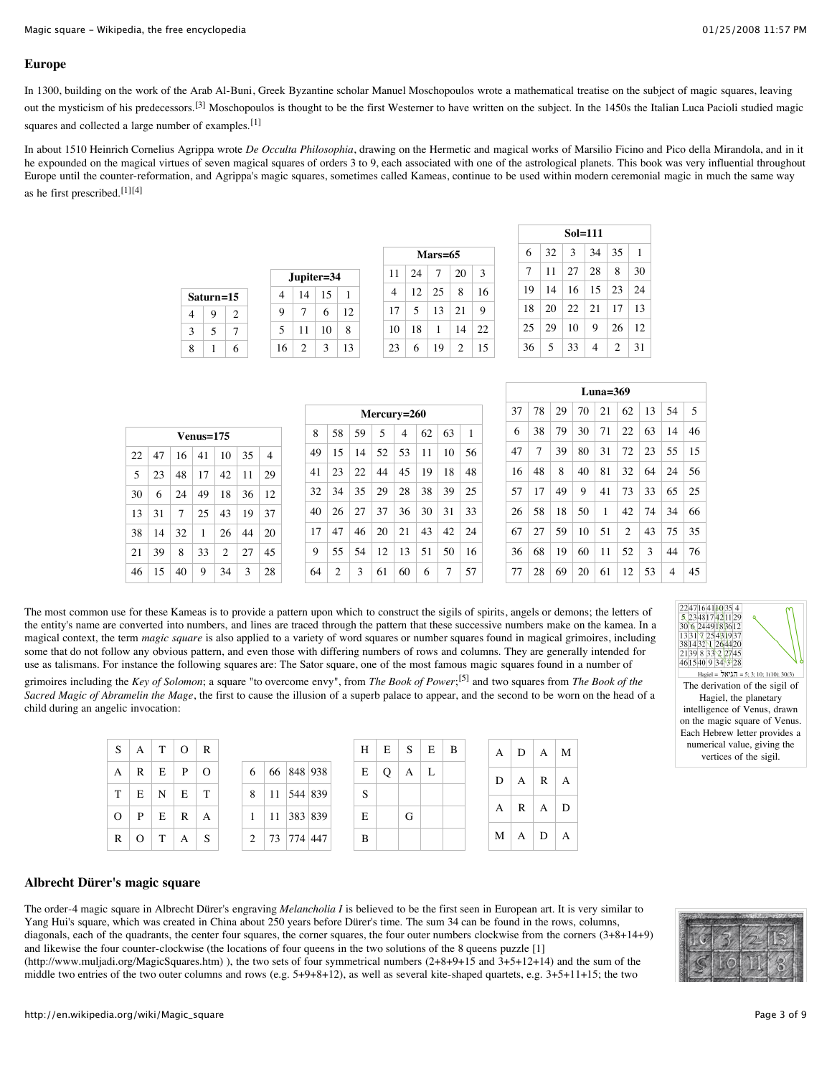### **Europe**

In 1300, building on the work of the Arab Al-Buni, Greek Byzantine scholar Manuel Moschopoulos wrote a mathematical treatise on the subject of magic squares, leaving out the mysticism of his predecessors.<sup>[3]</sup> Moschopoulos is thought to be the first Westerner to have written on the subject. In the 1450s the Italian Luca Pacioli studied magic squares and collected a large number of examples.<sup>[1]</sup>

In about 1510 Heinrich Cornelius Agrippa wrote *De Occulta Philosophia*, drawing on the Hermetic and magical works of Marsilio Ficino and Pico della Mirandola, and in it he expounded on the magical virtues of seven magical squares of orders 3 to 9, each associated with one of the astrological planets. This book was very influential throughout Europe until the counter-reformation, and Agrippa's magic squares, sometimes called Kameas, continue to be used within modern ceremonial magic in much the same way as he first prescribed.[1][4]

|   |           |   |                |                               | Jupiter=34    |                          |
|---|-----------|---|----------------|-------------------------------|---------------|--------------------------|
|   | Saturn=15 |   | 4              | 14                            | 15            |                          |
| 4 | 9         | 2 | 9              |                               | 6             | Ľ                        |
| 3 | 5         |   | $\overline{5}$ | 11                            | 10            | 8                        |
| 8 |           |   | 16             | $\mathfrak{D}_{\mathfrak{p}}$ | $\mathcal{E}$ | $\overline{\phantom{a}}$ |

| $Mars=65$ |    |    |                |    |  |  |  |  |
|-----------|----|----|----------------|----|--|--|--|--|
| 11        | 24 | 7  | 20             | 3  |  |  |  |  |
| 4         | 12 | 25 | 8              | 16 |  |  |  |  |
| 17        | 5  | 13 | 21             | 9  |  |  |  |  |
| 10        | 18 | 1  | 14             | 22 |  |  |  |  |
| 23        | 6  | 19 | $\overline{c}$ | 15 |  |  |  |  |

|    | $Sol=111$ |              |     |                |    |  |  |  |  |  |
|----|-----------|--------------|-----|----------------|----|--|--|--|--|--|
| 6  | 32        | -3           | 34  | 35             | -1 |  |  |  |  |  |
| 7  | 11        | -27          | -28 | 8              | 30 |  |  |  |  |  |
| 19 | 14        | -16          | 15  | 123            | 24 |  |  |  |  |  |
| 18 | 20        | $22 \mid 21$ |     | -17            | 13 |  |  |  |  |  |
| 25 | 29        | 10           | 9   | 26             | 12 |  |  |  |  |  |
| 36 | 5         | 33           | 4   | $\mathfrak{D}$ | 31 |  |  |  |  |  |

|    | $Venns=175$ |    |              |    |     |                |  |  |  |  |
|----|-------------|----|--------------|----|-----|----------------|--|--|--|--|
| 22 | 47          | 16 | -41          | 10 | 35  | $\overline{4}$ |  |  |  |  |
| 5  | 23          | 48 | 17           | 42 | 11  | 29             |  |  |  |  |
| 30 | 6           | 24 | 49           | 18 | -36 | 12             |  |  |  |  |
| 13 | 31          | 7  | 25           | 43 | 19  | 37             |  |  |  |  |
| 38 | 14          | 32 | $\mathbf{1}$ | 26 | 44  | 20             |  |  |  |  |
| 21 | 39          | 8  | 33           | 2  | 27  | 45             |  |  |  |  |
| 46 | 15          | 40 | 9            | 34 | 3   | 28             |  |  |  |  |

| Mercury=260 |                |    |                 |                |    |    |                |  |  |  |
|-------------|----------------|----|-----------------|----------------|----|----|----------------|--|--|--|
| 8           | 58             | 59 | 5               | $\overline{4}$ | 62 | 63 | $\overline{1}$ |  |  |  |
| 49          | 15             | 14 | 52 <sup>1</sup> | .53            | 11 | 10 | 56             |  |  |  |
| 41          | 23             | 22 | 44              | 45             | 19 | 18 | 48             |  |  |  |
| 32          | 34             | 35 | 29              | 28             | 38 | 39 | 25             |  |  |  |
| 40          | 26             | 27 | 37              | 36             | 30 | 31 | 33             |  |  |  |
| 17          | 47             | 46 | 20              | 21             | 43 | 42 | 24             |  |  |  |
| 9           | 55             | 54 | 12              | 13             | 51 | 50 | 16             |  |  |  |
| 64          | $\overline{c}$ | 3  | 61              | 60             | 6  | 7  | 57             |  |  |  |

| Luna= $369$ |    |    |    |    |                |    |    |    |  |
|-------------|----|----|----|----|----------------|----|----|----|--|
| 37          | 78 | 29 | 70 | 21 | 62             | 13 | 54 | -5 |  |
| 6           | 38 | 79 | 30 | 71 | 22             | 63 | 14 | 46 |  |
| 47          | 7  | 39 | 80 | 31 | 72             | 23 | 55 | 15 |  |
| 16          | 48 | 8  | 40 | 81 | 32             | 64 | 24 | 56 |  |
| 57          | 17 | 49 | 9  | 41 | 73             | 33 | 65 | 25 |  |
| 26          | 58 | 18 | 50 | 1  | 42             | 74 | 34 | 66 |  |
| 67          | 27 | 59 | 10 | 51 | $\overline{2}$ | 43 | 75 | 35 |  |
| 36          | 68 | 19 | 60 | 11 | 52             | 3  | 44 | 76 |  |
| 77          | 28 | 69 | 20 | 61 | 12             | 53 | 4  | 45 |  |

The most common use for these Kameas is to provide a pattern upon which to construct the sigils of spirits, angels or demons; the letters of the entity's name are converted into numbers, and lines are traced through the pattern that these successive numbers make on the kamea. In a magical context, the term *magic square* is also applied to a variety of word squares or number squares found in magical grimoires, including some that do not follow any obvious pattern, and even those with differing numbers of rows and columns. They are generally intended for use as talismans. For instance the following squares are: The Sator square, one of the most famous magic squares found in a number of

 $12$ 

13

grimoires including the *Key of Solomon*; a square "to overcome envy", from *The Book of Power*; [5] and two squares from *The Book of the Sacred Magic of Abramelin the Mage*, the first to cause the illusion of a superb palace to appear, and the second to be worn on the head of a child during an angelic invocation:



Hagiel =  $\frac{1}{2}N^3\lambda_1 = 5$ ; 3; 10; 1(10); 30(3) The derivation of the sigil of Hagiel, the planetary intelligence of Venus, drawn on the magic square of Venus. Each Hebrew letter provides a numerical value, giving the vertices of the sigil.

|                |             | S   A   T   O   R   |          |                |
|----------------|-------------|---------------------|----------|----------------|
| A              | $R$ $E$ $P$ |                     | $\Omega$ | 6              |
|                |             | $T$   E   N   E   T |          | 8              |
| $\overline{O}$ |             | P E R A             |          |                |
| $\mathbf R$    | $O \mid T$  | $\mathsf{A}$        | -S       | $\overline{c}$ |

|   |                |  | H |
|---|----------------|--|---|
| 6 | 66 848 938     |  | E |
| 8 | 11   544   839 |  | S |
| 1 | 11 383 839     |  | E |
| 2 | 73 774 447     |  | B |

|   | $H \mid E \mid S \mid E \mid B$ |   |  |  | $A \mid D \mid A \mid M$ |  |
|---|---------------------------------|---|--|--|--------------------------|--|
|   | E   Q   A   L                   |   |  |  | $D \mid A \mid R \mid A$ |  |
| S |                                 |   |  |  |                          |  |
| E |                                 | G |  |  | $A \mid R \mid A \mid D$ |  |
| B |                                 |   |  |  | $M \mid A \mid D \mid A$ |  |
|   |                                 |   |  |  |                          |  |

### **Albrecht Dürer's magic square**

The order-4 magic square in Albrecht Dürer's engraving *Melancholia I* is believed to be the first seen in European art. It is very similar to Yang Hui's square, which was created in China about 250 years before Dürer's time. The sum 34 can be found in the rows, columns, diagonals, each of the quadrants, the center four squares, the corner squares, the four outer numbers clockwise from the corners (3+8+14+9) and likewise the four counter-clockwise (the locations of four queens in the two solutions of the 8 queens puzzle [1]

(http://www.muljadi.org/MagicSquares.htm) ), the two sets of four symmetrical numbers (2+8+9+15 and 3+5+12+14) and the sum of the middle two entries of the two outer columns and rows (e.g. 5+9+8+12), as well as several kite-shaped quartets, e.g. 3+5+11+15; the two

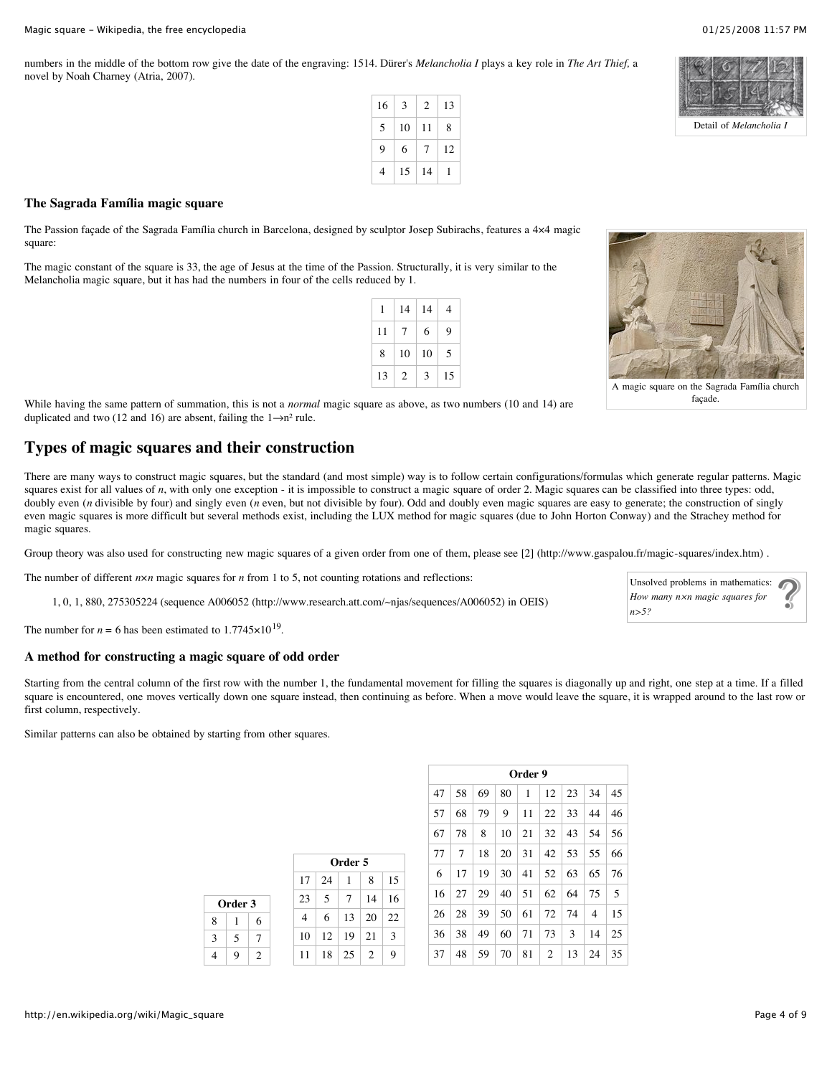numbers in the middle of the bottom row give the date of the engraving: 1514. Dürer's *Melancholia I* plays a key role in *The Art Thief,* a novel by Noah Charney (Atria, 2007).

| 16 | 3  | 2  | 13 |
|----|----|----|----|
| 5  | 10 | 11 | 8  |
| 9  | 6  | 7  | 12 |
| 4  | 15 | 14 |    |



Detail of *Melancholia I*

### **The Sagrada Família magic square**

The Passion façade of the Sagrada Família church in Barcelona, designed by sculptor Josep Subirachs, features a 4×4 magic square:

The magic constant of the square is 33, the age of Jesus at the time of the Passion. Structurally, it is very similar to the Melancholia magic square, but it has had the numbers in four of the cells reduced by 1.

| 1  | 14             | 14 | 4  |
|----|----------------|----|----|
| 11 | 7              | 6  | 9  |
| 8  | 10             | 10 | 5  |
| 13 | $\overline{c}$ | 3  | 15 |



A magic square on the Sagrada Família church façade.

While having the same pattern of summation, this is not a *normal* magic square as above, as two numbers (10 and 14) are duplicated and two (12 and 16) are absent, failing the  $1 \rightarrow n^2$  rule.

### **Types of magic squares and their construction**

There are many ways to construct magic squares, but the standard (and most simple) way is to follow certain configurations/formulas which generate regular patterns. Magic squares exist for all values of *n*, with only one exception - it is impossible to construct a magic square of order 2. Magic squares can be classified into three types: odd, doubly even (*n* divisible by four) and singly even (*n* even, but not divisible by four). Odd and doubly even magic squares are easy to generate; the construction of singly even magic squares is more difficult but several methods exist, including the LUX method for magic squares (due to John Horton Conway) and the Strachey method for magic squares.

Group theory was also used for constructing new magic squares of a given order from one of them, please see [2] (http://www.gaspalou.fr/magic-squares/index.htm).

The number of different  $n \times n$  magic squares for *n* from 1 to 5, not counting rotations and reflections:

**Order 3**  $8 \mid 1 \mid 6$  $3 \mid 5 \mid 7$  $4 \mid 9 \mid 2$ 

1, 0, 1, 880, 275305224 (sequence A006052 (http://www.research.att.com/~njas/sequences/A006052) in OEIS)

The number for  $n = 6$  has been estimated to  $1.7745 \times 10^{19}$ .

### **A method for constructing a magic square of odd order**

Starting from the central column of the first row with the number 1, the fundamental movement for filling the squares is diagonally up and right, one step at a time. If a filled square is encountered, one moves vertically down one square instead, then continuing as before. When a move would leave the square, it is wrapped around to the last row or first column, respectively.

Similar patterns can also be obtained by starting from other squares.

| Order 5 |    |                 |            |    |  |  |  |  |  |
|---------|----|-----------------|------------|----|--|--|--|--|--|
| 17      | 24 | 1               | 8          | 15 |  |  |  |  |  |
| 23      | 5  | $7\overline{ }$ | 14         | 16 |  |  |  |  |  |
| 4       | 6  | 13              | $\vert$ 20 | 22 |  |  |  |  |  |
| 10      | 12 | $\vert$ 19      | 21         | 3  |  |  |  |  |  |
| 11      | 18 | $\frac{25}{2}$  | 2          | 9  |  |  |  |  |  |

|    | Order 9 |    |    |    |                |    |    |    |  |  |  |  |  |
|----|---------|----|----|----|----------------|----|----|----|--|--|--|--|--|
| 47 | 58      | 69 | 80 | 1  | 12             | 23 | 34 | 45 |  |  |  |  |  |
| 57 | 68      | 79 | 9  | 11 | 22             | 33 | 44 | 46 |  |  |  |  |  |
| 67 | 78      | 8  | 10 | 21 | 32             | 43 | 54 | 56 |  |  |  |  |  |
| 77 | 7       | 18 | 20 | 31 | 42             | 53 | 55 | 66 |  |  |  |  |  |
| 6  | 17      | 19 | 30 | 41 | 52             | 63 | 65 | 76 |  |  |  |  |  |
| 16 | 27      | 29 | 40 | 51 | 62             | 64 | 75 | 5  |  |  |  |  |  |
| 26 | 28      | 39 | 50 | 61 | 72             | 74 | 4  | 15 |  |  |  |  |  |
| 36 | 38      | 49 | 60 | 71 | 73             | 3  | 14 | 25 |  |  |  |  |  |
| 37 | 48      | 59 | 70 | 81 | $\overline{2}$ | 13 | 24 | 35 |  |  |  |  |  |

Unsolved problems in mathematics: *How many n×n magic squares for n>5?*

http://en.wikipedia.org/wiki/Magic\_square Page 4 of 9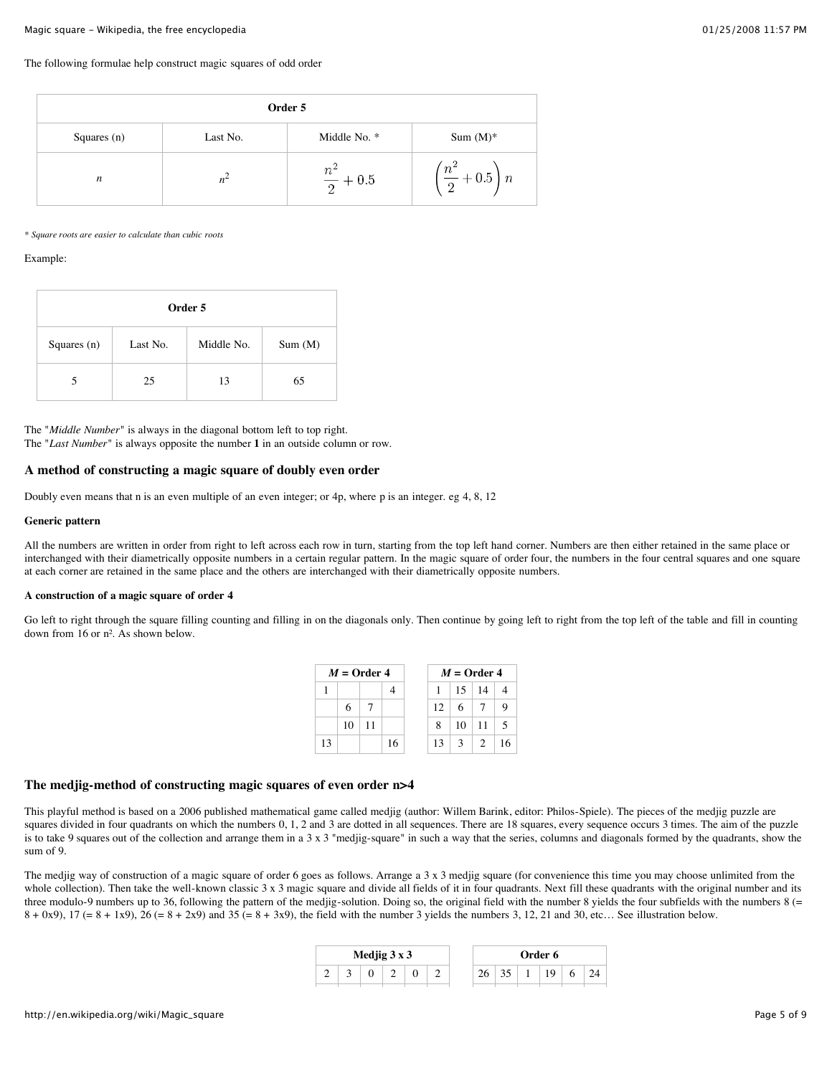#### The following formulae help construct magic squares of odd order

|                  | Order 5  |                        |                                               |  |  |  |  |  |  |  |  |  |
|------------------|----------|------------------------|-----------------------------------------------|--|--|--|--|--|--|--|--|--|
| Squares $(n)$    | Last No. | Middle No. *           | Sum $(M)^*$                                   |  |  |  |  |  |  |  |  |  |
| $\boldsymbol{n}$ | $n^2$    | $n^2$<br>$+\,0.5$<br>2 | $\left(\frac{n^2}{2}+0.5\right)n$<br>$\Omega$ |  |  |  |  |  |  |  |  |  |

#### *\* Square roots are easier to calculate than cubic roots*

#### Example:

| Order 5       |          |            |        |  |  |  |  |  |  |  |  |
|---------------|----------|------------|--------|--|--|--|--|--|--|--|--|
| Squares $(n)$ | Last No. | Middle No. | Sum(M) |  |  |  |  |  |  |  |  |
|               | 25       | 13         | 65     |  |  |  |  |  |  |  |  |

The "*Middle Number*" is always in the diagonal bottom left to top right. The "*Last Number*" is always opposite the number **1** in an outside column or row.

### **A method of constructing a magic square of doubly even order**

Doubly even means that n is an even multiple of an even integer; or 4p, where p is an integer. eg 4, 8, 12

### **Generic pattern**

All the numbers are written in order from right to left across each row in turn, starting from the top left hand corner. Numbers are then either retained in the same place or interchanged with their diametrically opposite numbers in a certain regular pattern. In the magic square of order four, the numbers in the four central squares and one square at each corner are retained in the same place and the others are interchanged with their diametrically opposite numbers.

#### **A construction of a magic square of order 4**

Go left to right through the square filling counting and filling in on the diagonals only. Then continue by going left to right from the top left of the table and fill in counting down from 16 or n². As shown below.

|    |    | $M =$ Order 4 |    |                 |               | $M =$ Order 4 |        |
|----|----|---------------|----|-----------------|---------------|---------------|--------|
|    |    |               |    | 1               |               | $15 \mid 14$  |        |
|    | 6  |               |    | 12 <sup>1</sup> | 6             |               |        |
|    | 10 | 11            |    | 8               | 10            | -11           | $\sim$ |
| 13 |    |               | 16 | 13              | $\mathcal{E}$ | $\mathcal{L}$ | 16     |

### **The medjig-method of constructing magic squares of even order n>4**

This playful method is based on a 2006 published mathematical game called medjig (author: Willem Barink, editor: Philos-Spiele). The pieces of the medjig puzzle are squares divided in four quadrants on which the numbers 0, 1, 2 and 3 are dotted in all sequences. There are 18 squares, every sequence occurs 3 times. The aim of the puzzle is to take 9 squares out of the collection and arrange them in a 3 x 3 "medjig-square" in such a way that the series, columns and diagonals formed by the quadrants, show the sum of 9.

The medjig way of construction of a magic square of order 6 goes as follows. Arrange a 3 x 3 medjig square (for convenience this time you may choose unlimited from the whole collection). Then take the well-known classic 3 x 3 magic square and divide all fields of it in four quadrants. Next fill these quadrants with the original number and its three modulo-9 numbers up to 36, following the pattern of the medjig-solution. Doing so, the original field with the number 8 yields the four subfields with the numbers 8 (=  $8 + 0x9$ ,  $17 (= 8 + 1x9)$ ,  $26 (= 8 + 2x9)$  and  $35 (= 8 + 3x9)$ , the field with the number 3 yields the numbers 3, 12, 21 and 30, etc... See illustration below.

|  | Medjig $3 \times 3$ |  |  |  | <b>Order 6</b> |  |
|--|---------------------|--|--|--|----------------|--|
|  |                     |  |  |  |                |  |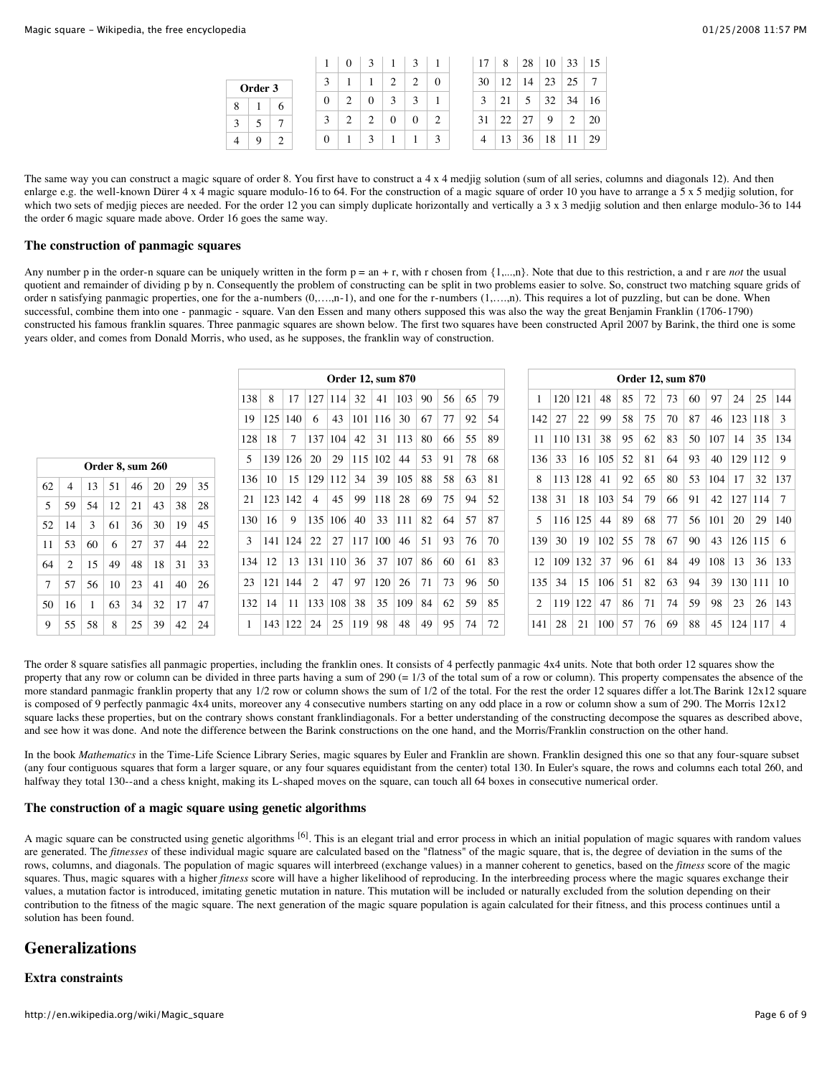|   |         |              |                  |   | 3 |                  |                  |          | 17 | 8  | 28 | 10 | 33 | 15 |
|---|---------|--------------|------------------|---|---|------------------|------------------|----------|----|----|----|----|----|----|
|   | Order 3 |              | 3                |   |   | $\overline{c}$   | $\overline{c}$   | $\theta$ | 30 | 12 | 14 | 23 | 25 | 7  |
| 8 |         | 6            | $\theta$         |   | 0 | 3                |                  |          | 3  | 21 | 5  | 32 | 34 | 16 |
| 3 |         | $\mathbf{r}$ | 3                | 2 | 2 | $\boldsymbol{0}$ | $\boldsymbol{0}$ | 2        | 31 | 22 | 27 | 9  | 2  | 20 |
| 4 | 9       | C            | $\boldsymbol{0}$ |   | 3 |                  |                  | κ        | 4  | 13 | 36 | 18 |    | 29 |

The same way you can construct a magic square of order 8. You first have to construct a 4 x 4 medjig solution (sum of all series, columns and diagonals 12). And then enlarge e.g. the well-known Dürer 4 x 4 magic square modulo-16 to 64. For the construction of a magic square of order 10 you have to arrange a 5 x 5 medjig solution, for which two sets of medjig pieces are needed. For the order 12 you can simply duplicate horizontally and vertically a 3 x 3 medjig solution and then enlarge modulo-36 to 144 the order 6 magic square made above. Order 16 goes the same way.

### **The construction of panmagic squares**

Any number p in the order-n square can be uniquely written in the form  $p = an + r$ , with r chosen from  $\{1,...,n\}$ . Note that due to this restriction, a and r are *not* the usual quotient and remainder of dividing p by n. Consequently the problem of constructing can be split in two problems easier to solve. So, construct two matching square grids of order n satisfying panmagic properties, one for the a-numbers (0,….,n-1), and one for the r-numbers (1,….,n). This requires a lot of puzzling, but can be done. When successful, combine them into one - panmagic - square. Van den Essen and many others supposed this was also the way the great Benjamin Franklin (1706-1790) constructed his famous franklin squares. Three panmagic squares are shown below. The first two squares have been constructed April 2007 by Barink, the third one is some years older, and comes from Donald Morris, who used, as he supposes, the franklin way of construction.

|    |    |                         |    |    |    |    |    | <b>Order 12, sum 870</b> |     |     |     |                  |         |     |     |    |     | <b>Order 12, sum 870</b> |    |     |         |     |     |    |    |    |    |     |     |     |        |
|----|----|-------------------------|----|----|----|----|----|--------------------------|-----|-----|-----|------------------|---------|-----|-----|----|-----|--------------------------|----|-----|---------|-----|-----|----|----|----|----|-----|-----|-----|--------|
|    |    |                         |    |    |    |    |    | 138                      | 8   | 17  | 127 | 114              | 32      | 41  | 103 | 90 | 56  | 65                       | 79 |     | 120     | 121 | 48  | 85 | 72 | 73 | 60 | 97  | 24  | 25  | 144    |
|    |    |                         |    |    |    |    |    | 19                       | 125 | 140 | 6   | 43               | 101 116 |     | 30  | 67 | 77  | 92                       | 54 | 142 | 27      | 22  | 99  | 58 | 75 | 70 | 87 | 46  | 123 | 118 | 3      |
|    |    |                         |    |    |    |    |    | 128                      | 18  | 7   | 137 | 104              | 42      | 31  | 113 | 80 | -66 | 55                       | 89 | 11  | 110 131 |     | 38  | 95 | 62 | 83 | 50 | 107 | 14  | 35  | 134    |
|    |    | <b>Order 8, sum 260</b> |    |    |    |    |    | 5                        | 139 | 126 | 20  | 29               | 115 102 |     | 44  | 53 | 91  | 78                       | 68 | 136 | 33      | 16  | 105 | 52 | 81 | 64 | 93 | 40  | 129 | 112 | 9      |
| 62 | 4  | 13                      | 51 | 46 | 20 | 29 | 35 | 136                      | 10  | 15  | 129 | 112              | 34      | 39  | 105 | 88 | 58  | 63                       | 81 | 8   | 113     | 128 | 41  | 92 | 65 | 80 | 53 | 104 | 17  | 32  | 137    |
| 5  | 59 | 54                      | 12 | 21 | 43 | 38 | 28 | 21                       | 123 | 142 | 4   | 45               | 99      | 118 | 28  | 69 | 75  | 94                       | 52 | 138 | 31      | 18  | 103 | 54 | 79 | 66 | 91 | 42  | 127 | 114 | $\tau$ |
| 52 | 14 | 3                       | 61 | 36 | 30 | 19 | 45 | 130                      | 16  | 9   | 135 | 106              | 40      | 33  | 111 | 82 | 64  | 57                       | 87 | 5   | 116 125 |     | 44  | 89 | 68 | 77 | 56 | 101 | 20  | 29  | 140    |
| 11 | 53 | 60                      | 6  | 27 | 37 | 44 | 22 | 3                        | 141 | 124 | 22  | 27               | 117     | 100 | 46  | 51 | 93  | 76                       | 70 | 139 | 30      | 19  | 102 | 55 | 78 | 67 | 90 | 43  | 126 | 115 | 6      |
| 64 | 2  | 15                      | 49 | 48 | 18 | 31 | 33 | 134                      | 12  | 13  | 131 | 110 <sup>1</sup> | 36      | 37  | 107 | 86 | 60  | -61                      | 83 | 12  | 109     | 132 | 37  | 96 | 61 | 84 | 49 | 108 | 13  | 36  | 133    |
|    | 57 | 56                      | 10 | 23 | 41 | 40 | 26 | 23                       | 121 | 144 | 2   | 47               | 97      | 120 | 26  | 71 | 73  | 96                       | 50 | 135 | 34      | 15  | 106 | 51 | 82 | 63 | 94 | 39  | 130 | 111 | 10     |
| 50 | 16 |                         | 63 | 34 | 32 | 17 | 47 | 132                      | 14  | 11  | 133 | 108              | 38      | 35  | 109 | 84 | 62  | .59                      | 85 | 2   | 119     | 122 | 47  | 86 | 71 | 74 | 59 | 98  | 23  | 26  | 143    |
| 9  | 55 | 58                      | 8  | 25 | 39 | 42 | 24 |                          | 143 | 122 | 24  | 25               | 119     | 98  | 48  | 49 | 95  | 74                       | 72 | 141 | 28      | 21  | 100 | 57 | 76 | 69 | 88 | 45  | 124 | 117 | 4      |

The order 8 square satisfies all panmagic properties, including the franklin ones. It consists of 4 perfectly panmagic 4x4 units. Note that both order 12 squares show the property that any row or column can be divided in three parts having a sum of 290 (= 1/3 of the total sum of a row or column). This property compensates the absence of the more standard panmagic franklin property that any 1/2 row or column shows the sum of 1/2 of the total. For the rest the order 12 squares differ a lot. The Barink 12x12 square is composed of 9 perfectly panmagic 4x4 units, moreover any 4 consecutive numbers starting on any odd place in a row or column show a sum of 290. The Morris 12x12 square lacks these properties, but on the contrary shows constant franklindiagonals. For a better understanding of the constructing decompose the squares as described above, and see how it was done. And note the difference between the Barink constructions on the one hand, and the Morris/Franklin construction on the other hand.

In the book *Mathematics* in the Time-Life Science Library Series, magic squares by Euler and Franklin are shown. Franklin designed this one so that any four-square subset (any four contiguous squares that form a larger square, or any four squares equidistant from the center) total 130. In Euler's square, the rows and columns each total 260, and halfway they total 130--and a chess knight, making its L-shaped moves on the square, can touch all 64 boxes in consecutive numerical order.

### **The construction of a magic square using genetic algorithms**

A magic square can be constructed using genetic algorithms <sup>[6]</sup>. This is an elegant trial and error process in which an initial population of magic squares with random values are generated. The *fitnesses* of these individual magic square are calculated based on the "flatness" of the magic square, that is, the degree of deviation in the sums of the rows, columns, and diagonals. The population of magic squares will interbreed (exchange values) in a manner coherent to genetics, based on the *fitness* score of the magic squares. Thus, magic squares with a higher *fitness* score will have a higher likelihood of reproducing. In the interbreeding process where the magic squares exchange their values, a mutation factor is introduced, imitating genetic mutation in nature. This mutation will be included or naturally excluded from the solution depending on their contribution to the fitness of the magic square. The next generation of the magic square population is again calculated for their fitness, and this process continues until a solution has been found.

### **Generalizations**

### **Extra constraints**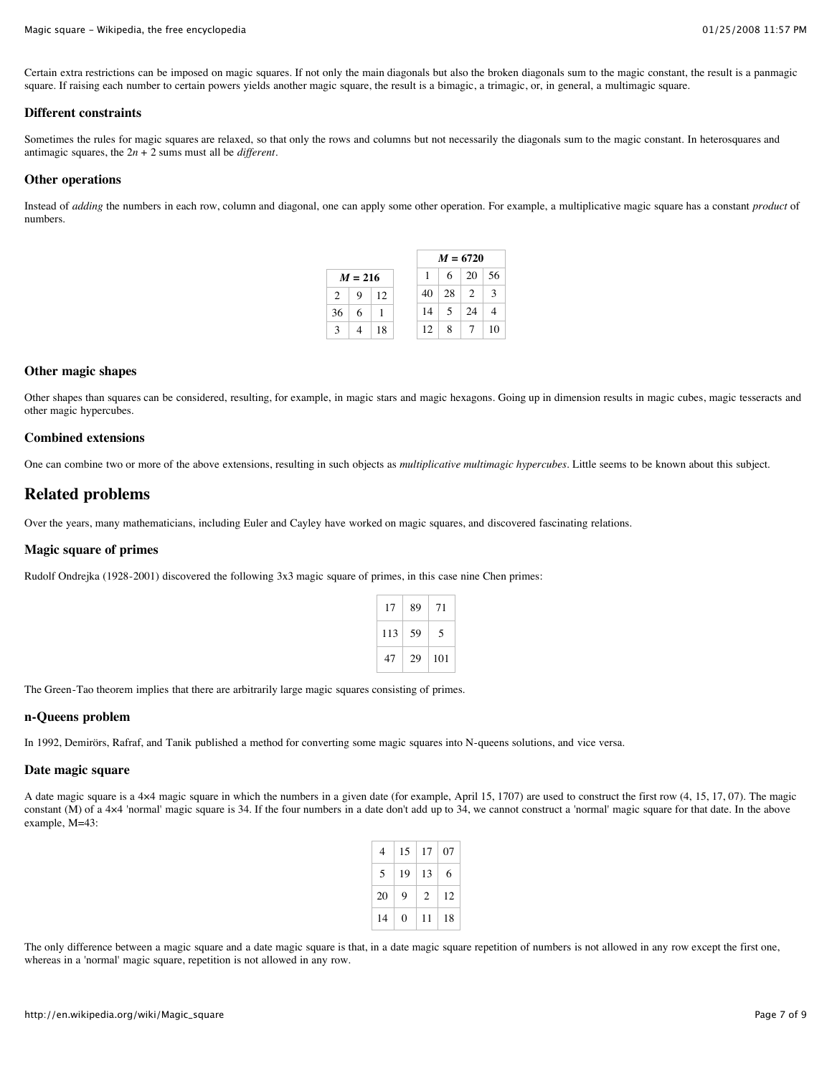#### Magic square - Wikipedia, the free encyclopedia 01/25/2008 11:57 PM

Certain extra restrictions can be imposed on magic squares. If not only the main diagonals but also the broken diagonals sum to the magic constant, the result is a panmagic square. If raising each number to certain powers yields another magic square, the result is a bimagic, a trimagic, or, in general, a multimagic square.

#### **Different constraints**

Sometimes the rules for magic squares are relaxed, so that only the rows and columns but not necessarily the diagonals sum to the magic constant. In heterosquares and antimagic squares, the 2*n* + 2 sums must all be *different*.

### **Other operations**

Instead of *adding* the numbers in each row, column and diagonal, one can apply some other operation. For example, a multiplicative magic square has a constant *product* of numbers.

|                |           |    |    |    | $M = 6720$         |    |  |  |  |  |  |
|----------------|-----------|----|----|----|--------------------|----|--|--|--|--|--|
|                | $M = 216$ |    | 1  | 6  | $\vert 20 \rangle$ | 56 |  |  |  |  |  |
| $\overline{2}$ | 9         | 12 | 40 | 28 | $\sqrt{2}$         | 3  |  |  |  |  |  |
| 36             | 6         |    | 14 | .5 | 24                 |    |  |  |  |  |  |
| $\mathcal{E}$  |           | 18 | 12 | 8  |                    | 10 |  |  |  |  |  |

### **Other magic shapes**

Other shapes than squares can be considered, resulting, for example, in magic stars and magic hexagons. Going up in dimension results in magic cubes, magic tesseracts and other magic hypercubes.

#### **Combined extensions**

One can combine two or more of the above extensions, resulting in such objects as *multiplicative multimagic hypercubes*. Little seems to be known about this subject.

### **Related problems**

Over the years, many mathematicians, including Euler and Cayley have worked on magic squares, and discovered fascinating relations.

### **Magic square of primes**

Rudolf Ondrejka (1928-2001) discovered the following 3x3 magic square of primes, in this case nine Chen primes:

| 17  | 89 | 71  |
|-----|----|-----|
| 113 | 59 | 5   |
| 47  | 29 | 101 |

The Green-Tao theorem implies that there are arbitrarily large magic squares consisting of primes.

### **n-Queens problem**

In 1992, Demirörs, Rafraf, and Tanik published a method for converting some magic squares into N-queens solutions, and vice versa.

#### **Date magic square**

A date magic square is a 4×4 magic square in which the numbers in a given date (for example, April 15, 1707) are used to construct the first row (4, 15, 17, 07). The magic constant (M) of a 4×4 'normal' magic square is 34. If the four numbers in a date don't add up to 34, we cannot construct a 'normal' magic square for that date. In the above example, M=43:

| 4  | 15 | 17 | 07 |
|----|----|----|----|
| 5  | 19 | 13 | 6  |
| 20 | 9  | 2  | 12 |
| 14 | 0  | 11 | 18 |

The only difference between a magic square and a date magic square is that, in a date magic square repetition of numbers is not allowed in any row except the first one, whereas in a 'normal' magic square, repetition is not allowed in any row.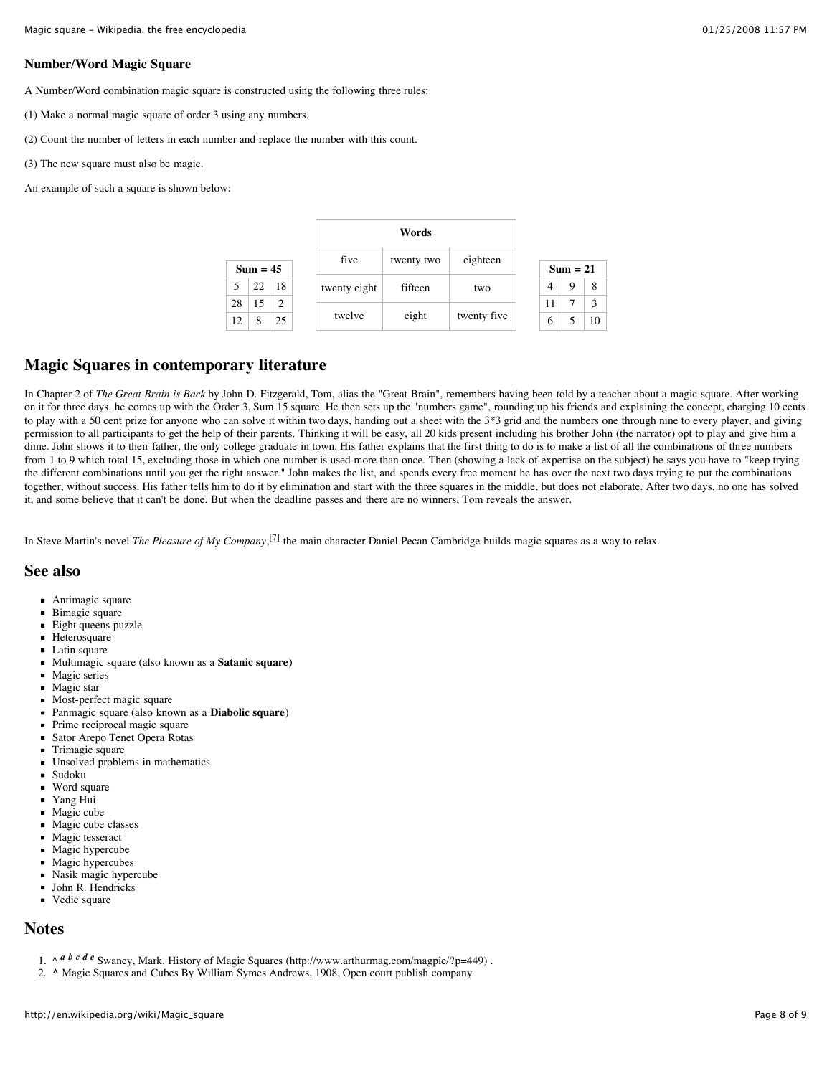### **Number/Word Magic Square**

A Number/Word combination magic square is constructed using the following three rules:

- (1) Make a normal magic square of order 3 using any numbers.
- (2) Count the number of letters in each number and replace the number with this count.
- (3) The new square must also be magic.
- An example of such a square is shown below:

|            |    |      |                        | Words |         |             |  |    |   |    |
|------------|----|------|------------------------|-------|---------|-------------|--|----|---|----|
| $Sum = 45$ |    | five | eighteen<br>twenty two |       |         | $Sum = 21$  |  |    |   |    |
|            | 22 | 18   | twenty eight           |       | fifteen | two         |  | 4  | 9 | 8  |
| 28         | 15 | 2    |                        |       | eight   | twenty five |  | 11 |   | 3  |
| 12         | 8  | 25   | twelve                 |       |         |             |  | 6  |   | 10 |

## **Magic Squares in contemporary literature**

In Chapter 2 of *The Great Brain is Back* by John D. Fitzgerald, Tom, alias the "Great Brain", remembers having been told by a teacher about a magic square. After working on it for three days, he comes up with the Order 3, Sum 15 square. He then sets up the "numbers game", rounding up his friends and explaining the concept, charging 10 cents to play with a 50 cent prize for anyone who can solve it within two days, handing out a sheet with the  $3*3$  grid and the numbers one through nine to every player, and giving permission to all participants to get the help of their parents. Thinking it will be easy, all 20 kids present including his brother John (the narrator) opt to play and give him a dime. John shows it to their father, the only college graduate in town. His father explains that the first thing to do is to make a list of all the combinations of three numbers from 1 to 9 which total 15, excluding those in which one number is used more than once. Then (showing a lack of expertise on the subject) he says you have to "keep trying the different combinations until you get the right answer." John makes the list, and spends every free moment he has over the next two days trying to put the combinations together, without success. His father tells him to do it by elimination and start with the three squares in the middle, but does not elaborate. After two days, no one has solved it, and some believe that it can't be done. But when the deadline passes and there are no winners, Tom reveals the answer.

In Steve Martin's novel *The Pleasure of My Company*, [7] the main character Daniel Pecan Cambridge builds magic squares as a way to relax.

### **See also**

- Antimagic square
- Bimagic square
- $\blacksquare$ Eight queens puzzle
- **Heterosquare**
- **Latin square**
- $\blacksquare$ Multimagic square (also known as a **Satanic square**)
- $\blacksquare$ Magic series
- Magic star  $\blacksquare$
- Most-perfect magic square
- $\blacksquare$ Panmagic square (also known as a **Diabolic square**)
- Prime reciprocal magic square
- Sator Arepo Tenet Opera Rotas  $\blacksquare$
- Trimagic square
- Unsolved problems in mathematics  $\blacksquare$
- Sudoku
- Word square  $\blacksquare$
- Yang Hui  $\blacksquare$
- Magic cube Magic cube classes
- Magic tesseract
- Magic hypercube
- Magic hypercubes
- Nasik magic hypercube
- John R. Hendricks
- Vedic square  $\blacksquare$

### **Notes**

- 1. ^ *a b c d e* Swaney, Mark. History of Magic Squares (http://www.arthurmag.com/magpie/?p=449).
- 2. **^** Magic Squares and Cubes By William Symes Andrews, 1908, Open court publish company